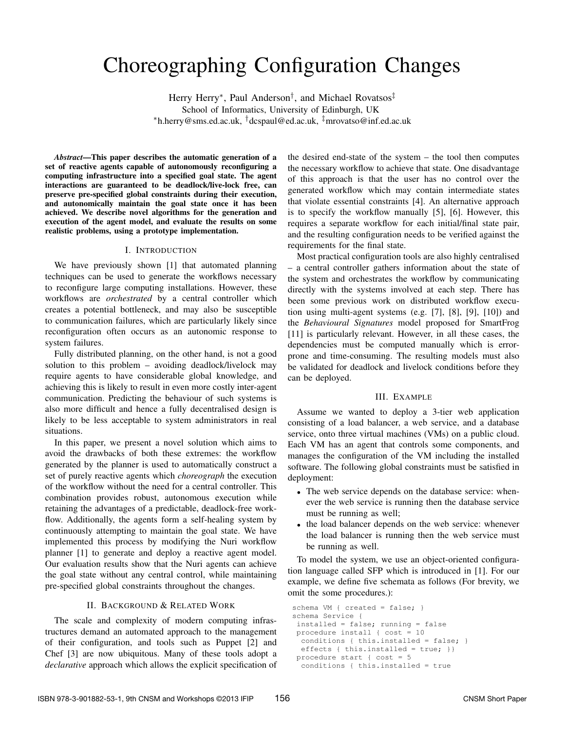# Choreographing Configuration Changes

Herry Herry<sup>∗</sup> , Paul Anderson† , and Michael Rovatsos‡ School of Informatics, University of Edinburgh, UK

<sup>∗</sup>h.herry@sms.ed.ac.uk, †dcspaul@ed.ac.uk, ‡mrovatso@inf.ed.ac.uk

*Abstract*—This paper describes the automatic generation of a set of reactive agents capable of autonomously reconfiguring a computing infrastructure into a specified goal state. The agent interactions are guaranteed to be deadlock/live-lock free, can preserve pre-specified global constraints during their execution, and autonomically maintain the goal state once it has been achieved. We describe novel algorithms for the generation and execution of the agent model, and evaluate the results on some realistic problems, using a prototype implementation.

#### I. INTRODUCTION

We have previously shown [1] that automated planning techniques can be used to generate the workflows necessary to reconfigure large computing installations. However, these workflows are *orchestrated* by a central controller which creates a potential bottleneck, and may also be susceptible to communication failures, which are particularly likely since reconfiguration often occurs as an autonomic response to system failures.

Fully distributed planning, on the other hand, is not a good solution to this problem – avoiding deadlock/livelock may require agents to have considerable global knowledge, and achieving this is likely to result in even more costly inter-agent communication. Predicting the behaviour of such systems is also more difficult and hence a fully decentralised design is likely to be less acceptable to system administrators in real situations.

In this paper, we present a novel solution which aims to avoid the drawbacks of both these extremes: the workflow generated by the planner is used to automatically construct a set of purely reactive agents which *choreograph* the execution of the workflow without the need for a central controller. This combination provides robust, autonomous execution while retaining the advantages of a predictable, deadlock-free workflow. Additionally, the agents form a self-healing system by continuously attempting to maintain the goal state. We have implemented this process by modifying the Nuri workflow planner [1] to generate and deploy a reactive agent model. Our evaluation results show that the Nuri agents can achieve the goal state without any central control, while maintaining pre-specified global constraints throughout the changes.

## II. BACKGROUND & RELATED WORK

The scale and complexity of modern computing infrastructures demand an automated approach to the management of their configuration, and tools such as Puppet [2] and Chef [3] are now ubiquitous. Many of these tools adopt a *declarative* approach which allows the explicit specification of the desired end-state of the system – the tool then computes the necessary workflow to achieve that state. One disadvantage of this approach is that the user has no control over the generated workflow which may contain intermediate states that violate essential constraints [4]. An alternative approach is to specify the workflow manually [5], [6]. However, this requires a separate workflow for each initial/final state pair, and the resulting configuration needs to be verified against the requirements for the final state.

Most practical configuration tools are also highly centralised – a central controller gathers information about the state of the system and orchestrates the workflow by communicating directly with the systems involved at each step. There has been some previous work on distributed workflow execution using multi-agent systems (e.g. [7], [8], [9], [10]) and the *Behavioural Signatures* model proposed for SmartFrog [11] is particularly relevant. However, in all these cases, the dependencies must be computed manually which is errorprone and time-consuming. The resulting models must also be validated for deadlock and livelock conditions before they can be deployed.

#### III. EXAMPLE

Assume we wanted to deploy a 3-tier web application consisting of a load balancer, a web service, and a database service, onto three virtual machines (VMs) on a public cloud. Each VM has an agent that controls some components, and manages the configuration of the VM including the installed software. The following global constraints must be satisfied in deployment:

- The web service depends on the database service: whenever the web service is running then the database service must be running as well;
- the load balancer depends on the web service: whenever the load balancer is running then the web service must be running as well.

To model the system, we use an object-oriented configuration language called SFP which is introduced in [1]. For our example, we define five schemata as follows (For brevity, we omit the some procedures.):

```
schema VM { created = false; }
schema Service {
 installed = false; running = false
procedure install { cost = 10
  conditions { this.installed = false; }
  effects { this.installed = true; }}
 procedure start { cost = 5
  conditions { this.installed = true
```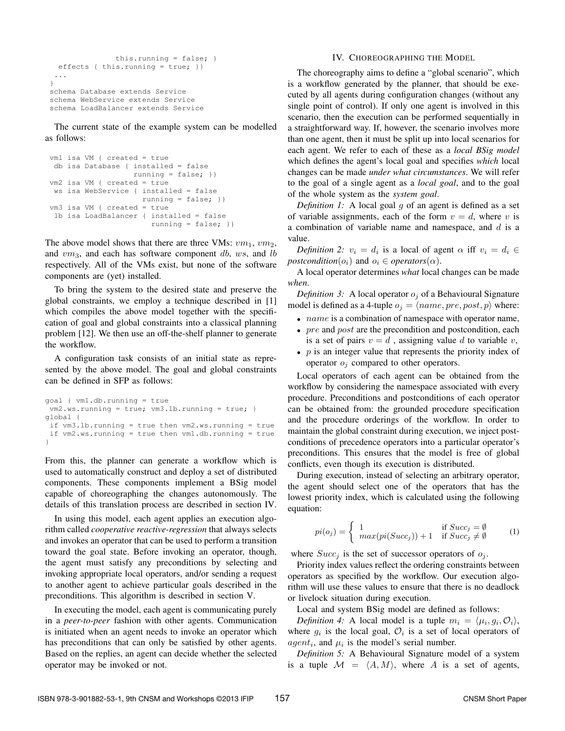```
this.running = false; }
 effects { this.running = true; }}
 ...
}
schema Database extends Service
schema WebService extends Service
schema LoadBalancer extends Service
```
The current state of the example system can be modelled as follows:

```
vm1 isa VM { created = true
db isa Database { installed = false
                  running = false; } }
vm2 isa VM { created = true
ws isa WebService { installed = false
                     running = false; } }
vm3 isa VM { created = true
lb isa LoadBalancer { installed = false
                       running = false; }}
```
The above model shows that there are three VMs:  $vm_1$ ,  $vm_2$ , and  $vm_3$ , and each has software component db, ws, and lb respectively. All of the VMs exist, but none of the software components are (yet) installed.

To bring the system to the desired state and preserve the global constraints, we employ a technique described in [1] which compiles the above model together with the specification of goal and global constraints into a classical planning problem [12]. We then use an off-the-shelf planner to generate the workflow.

A configuration task consists of an initial state as represented by the above model. The goal and global constraints can be defined in SFP as follows:

```
goal { vm1.db.running = true
vm2.ws.running = true; vm3.lb.running = true; }
global {
if vm3.lb.running = true then vm2.ws.running = true
if vm2.ws.running = true then vm1.db.running = true
}
```
From this, the planner can generate a workflow which is used to automatically construct and deploy a set of distributed components. These components implement a BSig model capable of choreographing the changes autonomously. The details of this translation process are described in section IV.

In using this model, each agent applies an execution algorithm called *cooperative reactive-regression* that always selects and invokes an operator that can be used to perform a transition toward the goal state. Before invoking an operator, though, the agent must satisfy any preconditions by selecting and invoking appropriate local operators, and/or sending a request to another agent to achieve particular goals described in the preconditions. This algorithm is described in section V.

In executing the model, each agent is communicating purely in a *peer-to-peer* fashion with other agents. Communication is initiated when an agent needs to invoke an operator which has preconditions that can only be satisfied by other agents. Based on the replies, an agent can decide whether the selected operator may be invoked or not.

#### IV. CHOREOGRAPHING THE MODEL

The choreography aims to define a "global scenario", which is a workflow generated by the planner, that should be executed by all agents during configuration changes (without any single point of control). If only one agent is involved in this scenario, then the execution can be performed sequentially in a straightforward way. If, however, the scenario involves more than one agent, then it must be split up into local scenarios for each agent. We refer to each of these as a *local BSig model* which defines the agent's local goal and specifies *which* local changes can be made *under what circumstances*. We will refer to the goal of a single agent as a *local goal*, and to the goal of the whole system as the *system goal*.

*Definition 1:* A local goal g of an agent is defined as a set of variable assignments, each of the form  $v = d$ , where v is a combination of variable name and namespace, and  $d$  is a value.

*Definition 2:*  $v_i = d_i$  is a local of agent  $\alpha$  iff  $v_i = d_i \in$ *postcondition*( $o_i$ ) and  $o_i \in operators(\alpha)$ .

A local operator determines *what* local changes can be made *when*.

*Definition 3:* A local operator  $o_i$  of a Behavioural Signature model is defined as a 4-tuple  $o_i = \langle name, pre, post, p \rangle$  where:

- *name* is a combination of namespace with operator name,
- $\bullet$  pre and post are the precondition and postcondition, each is a set of pairs  $v = d$ , assigning value d to variable v,
- $p$  is an integer value that represents the priority index of operator  $o_i$  compared to other operators.

Local operators of each agent can be obtained from the workflow by considering the namespace associated with every procedure. Preconditions and postconditions of each operator can be obtained from: the grounded procedure specification and the procedure orderings of the workflow. In order to maintain the global constraint during execution, we inject postconditions of precedence operators into a particular operator's preconditions. This ensures that the model is free of global conflicts, even though its execution is distributed.

During execution, instead of selecting an arbitrary operator, the agent should select one of the operators that has the lowest priority index, which is calculated using the following equation:

$$
pi(o_j) = \begin{cases} 1 & \text{if } Succ_j = \emptyset \\ max(pi(Succ_j)) + 1 & \text{if } Succ_j \neq \emptyset \end{cases} (1)
$$

where  $Succ<sub>i</sub>$  is the set of successor operators of  $o<sub>i</sub>$ .

Priority index values reflect the ordering constraints between operators as specified by the workflow. Our execution algorithm will use these values to ensure that there is no deadlock or livelock situation during execution.

Local and system BSig model are defined as follows:

*Definition 4:* A local model is a tuple  $m_i = \langle \mu_i, g_i, O_i \rangle$ , where  $g_i$  is the local goal,  $\mathcal{O}_i$  is a set of local operators of agent<sub>i</sub>, and  $\mu_i$  is the model's serial number.

*Definition 5:* A Behavioural Signature model of a system is a tuple  $\mathcal{M} = \langle A, M \rangle$ , where A is a set of agents,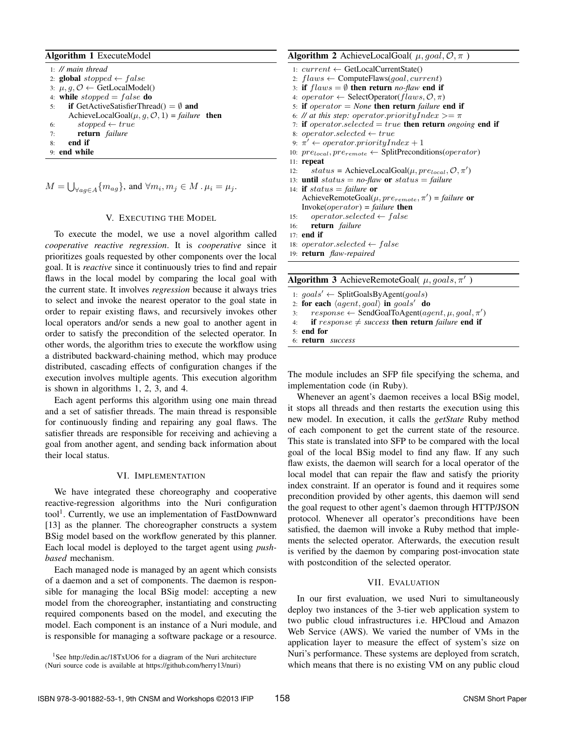# Algorithm 1 ExecuteModel

1: *// main thread* 2: global stopped  $\leftarrow false$ 3:  $\mu$ ,  $q$ ,  $\mathcal{O} \leftarrow$  GetLocalModel() 4: while stopped =  $false$  do 5: if GetActiveSatisfierThread() =  $\emptyset$  and AchieveLocalGoal $(\mu, g, \mathcal{O}, 1)$  = *failure* then 6:  $stopped \leftarrow true$ 

- 7: return *failure*
- 8: end if
- 9: end while

 $M = \bigcup_{\forall a g \in A} \{m_{ag}\}\$ , and  $\forall m_i, m_j \in M$ .  $\mu_i = \mu_j$ .

### V. EXECUTING THE MODEL

To execute the model, we use a novel algorithm called *cooperative reactive regression*. It is *cooperative* since it prioritizes goals requested by other components over the local goal. It is *reactive* since it continuously tries to find and repair flaws in the local model by comparing the local goal with the current state. It involves *regression* because it always tries to select and invoke the nearest operator to the goal state in order to repair existing flaws, and recursively invokes other local operators and/or sends a new goal to another agent in order to satisfy the precondition of the selected operator. In other words, the algorithm tries to execute the workflow using a distributed backward-chaining method, which may produce distributed, cascading effects of configuration changes if the execution involves multiple agents. This execution algorithm is shown in algorithms 1, 2, 3, and 4.

Each agent performs this algorithm using one main thread and a set of satisfier threads. The main thread is responsible for continuously finding and repairing any goal flaws. The satisfier threads are responsible for receiving and achieving a goal from another agent, and sending back information about their local status.

### VI. IMPLEMENTATION

We have integrated these choreography and cooperative reactive-regression algorithms into the Nuri configuration tool<sup>1</sup>. Currently, we use an implementation of FastDownward [13] as the planner. The choreographer constructs a system BSig model based on the workflow generated by this planner. Each local model is deployed to the target agent using *pushbased* mechanism.

Each managed node is managed by an agent which consists of a daemon and a set of components. The daemon is responsible for managing the local BSig model: accepting a new model from the choreographer, instantiating and constructing required components based on the model, and executing the model. Each component is an instance of a Nuri module, and is responsible for managing a software package or a resource.

<sup>1</sup>See http://edin.ac/18TxUO6 for a diagram of the Nuri architecture (Nuri source code is available at https://github.com/herry13/nuri)

#### **Algorithm 2** AchieveLocalGoal(  $\mu$ , goal,  $\mathcal{O}, \pi$ )

- 1:  $current \leftarrow GetLocalCurrentState()$
- 2:  $flaws \leftarrow ComputeFlaws(goal, current)$
- 3: if  $flaws = \emptyset$  then return *no-flaw* end if
- 4: operator  $\leftarrow$  SelectOperator(flaws,  $\mathcal{O}, \pi$ )
- 5: if operator = *None* then return *failure* end if
- 6: *// at this step: operator.priorityIndex*  $>= \pi$
- 7: if *operator.selected*  $= true$  then return *ongoing* end if
- 8: operator.selected  $\leftarrow$  true
- 9:  $\pi' \leftarrow operator: priorityIndex + 1$
- 10:  $pre<sub>local</sub>, pre<sub>remote</sub> \leftarrow SplitPreconditions(operator)$
- 11: repeat
- 12:  $status = \text{AchievelLocalGoal}(\mu, \text{pre}_{local}, \mathcal{O}, \pi')$
- 13: **until** status = *no-flaw* or status = *failure*
- 14: **if** status = *failure* or  $\text{AchieveRemoteGoal}(\mu, pre_{remote}, \pi') = \text{failure or}$ Invoke(operator) = *failure* then
- 15: operator.selected  $\leftarrow$  false
- 16: return *failure*
- 17: end if
- 18: operator.selected  $\leftarrow$  false
- 19: return *flaw-repaired*

|  |  | <b>Algorithm 3</b> AchieveRemoteGoal( $\mu$ , goals, $\pi'$ ) |  |  |
|--|--|---------------------------------------------------------------|--|--|
|--|--|---------------------------------------------------------------|--|--|

| 1: $goals' \leftarrow SplitGoalsByAgent(goals)$                         |
|-------------------------------------------------------------------------|
| 2: for each $\langle agent, goal \rangle$ in goals' do                  |
| 3: $response \leftarrow \text{SendGoalToAgent}(agent, \mu, goal, \pi')$ |
| 4: if response $\neq$ success then return failure end if                |
| $5:$ end for                                                            |
| 6: return success                                                       |

The module includes an SFP file specifying the schema, and implementation code (in Ruby).

Whenever an agent's daemon receives a local BSig model, it stops all threads and then restarts the execution using this new model. In execution, it calls the *getState* Ruby method of each component to get the current state of the resource. This state is translated into SFP to be compared with the local goal of the local BSig model to find any flaw. If any such flaw exists, the daemon will search for a local operator of the local model that can repair the flaw and satisfy the priority index constraint. If an operator is found and it requires some precondition provided by other agents, this daemon will send the goal request to other agent's daemon through HTTP/JSON protocol. Whenever all operator's preconditions have been satisfied, the daemon will invoke a Ruby method that implements the selected operator. Afterwards, the execution result is verified by the daemon by comparing post-invocation state with postcondition of the selected operator.

#### VII. EVALUATION

In our first evaluation, we used Nuri to simultaneously deploy two instances of the 3-tier web application system to two public cloud infrastructures i.e. HPCloud and Amazon Web Service (AWS). We varied the number of VMs in the application layer to measure the effect of system's size on Nuri's performance. These systems are deployed from scratch, which means that there is no existing VM on any public cloud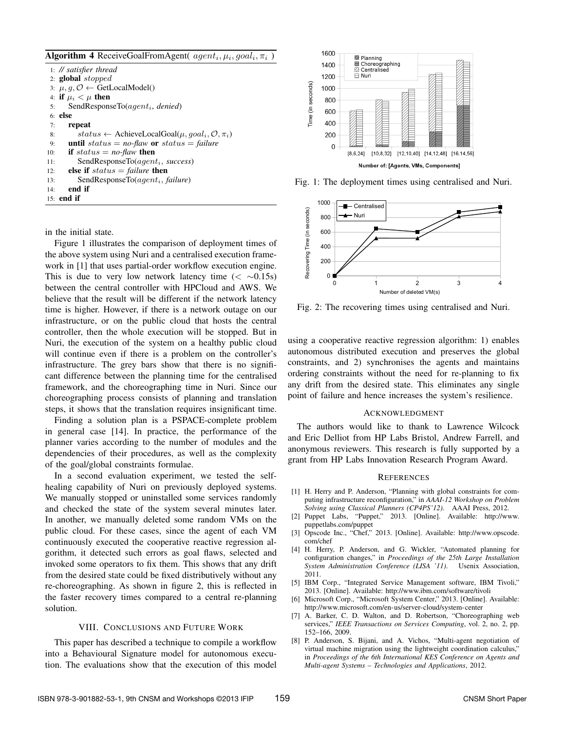| <b>Algorithm 4</b> ReceiveGoalFromAgent( $agent_i, \mu_i, goal_i, \pi_i$ )          |
|-------------------------------------------------------------------------------------|
| $1:$ // satisfier thread                                                            |
| 2: <b>global</b> stopped                                                            |
| 3: $\mu$ , $q$ , $\mathcal{O} \leftarrow$ GetLocalModel()                           |
| 4: if $\mu_i < \mu$ then                                                            |
| SendResponseTo( $agent_i$ , denied)<br>5:                                           |
| $6:$ else                                                                           |
| 7:<br>repeat                                                                        |
| $status \leftarrow \text{AchievelLocalGoal}(\mu, goal_i, \mathcal{O}, \pi_i)$<br>8: |
| <b>until</b> status = no-flaw or status = failure<br>9:                             |
| if $status = no\text{-}flow$ then<br>10:                                            |
| SendResponseTo( $agent_i$ , success)<br>11:                                         |
| else if $status = failure$ then<br>12:                                              |
| SendResponseTo( $agent_i$ , failure)<br>13:                                         |
| end if<br>14:                                                                       |
| $15:$ end if                                                                        |

in the initial state.

Figure 1 illustrates the comparison of deployment times of the above system using Nuri and a centralised execution framework in [1] that uses partial-order workflow execution engine. This is due to very low network latency time ( $\langle \sim 0.15$ s) between the central controller with HPCloud and AWS. We believe that the result will be different if the network latency time is higher. However, if there is a network outage on our infrastructure, or on the public cloud that hosts the central controller, then the whole execution will be stopped. But in Nuri, the execution of the system on a healthy public cloud will continue even if there is a problem on the controller's infrastructure. The grey bars show that there is no significant difference between the planning time for the centralised framework, and the choreographing time in Nuri. Since our choreographing process consists of planning and translation steps, it shows that the translation requires insignificant time.

Finding a solution plan is a PSPACE-complete problem in general case [14]. In practice, the performance of the planner varies according to the number of modules and the dependencies of their procedures, as well as the complexity of the goal/global constraints formulae.

In a second evaluation experiment, we tested the selfhealing capability of Nuri on previously deployed systems. We manually stopped or uninstalled some services randomly and checked the state of the system several minutes later. In another, we manually deleted some random VMs on the public cloud. For these cases, since the agent of each VM continuously executed the cooperative reactive regression algorithm, it detected such errors as goal flaws, selected and invoked some operators to fix them. This shows that any drift from the desired state could be fixed distributively without any re-choreographing. As shown in figure 2, this is reflected in the faster recovery times compared to a central re-planning solution.

#### VIII. CONCLUSIONS AND FUTURE WORK

This paper has described a technique to compile a workflow into a Behavioural Signature model for autonomous execution. The evaluations show that the execution of this model



Fig. 1: The deployment times using centralised and Nuri.



Fig. 2: The recovering times using centralised and Nuri.

using a cooperative reactive regression algorithm: 1) enables autonomous distributed execution and preserves the global constraints, and 2) synchronises the agents and maintains ordering constraints without the need for re-planning to fix any drift from the desired state. This eliminates any single point of failure and hence increases the system's resilience.

# **ACKNOWLEDGMENT**

The authors would like to thank to Lawrence Wilcock and Eric Delliot from HP Labs Bristol, Andrew Farrell, and anonymous reviewers. This research is fully supported by a grant from HP Labs Innovation Research Program Award.

#### **REFERENCES**

- [1] H. Herry and P. Anderson, "Planning with global constraints for computing infrastructure reconfiguration," in *AAAI-12 Workshop on Problem Solving using Classical Planners (CP4PS'12)*. AAAI Press, 2012.
- 2013. [Online]. Available: http://www. puppetlabs.com/puppet
- [3] Opscode Inc., "Chef," 2013. [Online]. Available: http://www.opscode. com/chef
- [4] H. Herry, P. Anderson, and G. Wickler, "Automated planning for configuration changes," in *Proceedings of the 25th Large Installation System Administration Conference (LISA '11)*. Usenix Association, 2011.
- [5] IBM Corp., "Integrated Service Management software, IBM Tivoli," 2013. [Online]. Available: http://www.ibm.com/software/tivoli
- Microsoft Corp., "Microsoft System Center," 2013. [Online]. Available: http://www.microsoft.com/en-us/server-cloud/system-center
- [7] A. Barker, C. D. Walton, and D. Robertson, "Choreographing web services," *IEEE Transactions on Services Computing*, vol. 2, no. 2, pp. 152–166, 2009.
- [8] P. Anderson, S. Bijani, and A. Vichos, "Multi-agent negotiation of virtual machine migration using the lightweight coordination calculus," in *Proceedings of the 6th International KES Conference on Agents and Multi-agent Systems – Technologies and Applications*, 2012.